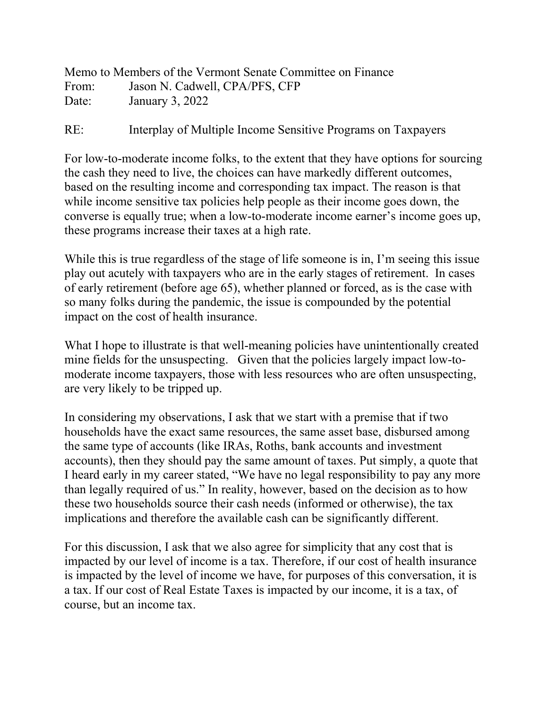|       | Memo to Members of the Vermont Senate Committee on Finance |
|-------|------------------------------------------------------------|
| From: | Jason N. Cadwell, CPA/PFS, CFP                             |
| Date: | January 3, 2022                                            |

## RE: Interplay of Multiple Income Sensitive Programs on Taxpayers

For low-to-moderate income folks, to the extent that they have options for sourcing the cash they need to live, the choices can have markedly different outcomes, based on the resulting income and corresponding tax impact. The reason is that while income sensitive tax policies help people as their income goes down, the converse is equally true; when a low-to-moderate income earner's income goes up, these programs increase their taxes at a high rate.

While this is true regardless of the stage of life someone is in, I'm seeing this issue play out acutely with taxpayers who are in the early stages of retirement. In cases of early retirement (before age 65), whether planned or forced, as is the case with so many folks during the pandemic, the issue is compounded by the potential impact on the cost of health insurance.

What I hope to illustrate is that well-meaning policies have unintentionally created mine fields for the unsuspecting. Given that the policies largely impact low-tomoderate income taxpayers, those with less resources who are often unsuspecting, are very likely to be tripped up.

In considering my observations, I ask that we start with a premise that if two households have the exact same resources, the same asset base, disbursed among the same type of accounts (like IRAs, Roths, bank accounts and investment accounts), then they should pay the same amount of taxes. Put simply, a quote that I heard early in my career stated, "We have no legal responsibility to pay any more than legally required of us." In reality, however, based on the decision as to how these two households source their cash needs (informed or otherwise), the tax implications and therefore the available cash can be significantly different.

For this discussion, I ask that we also agree for simplicity that any cost that is impacted by our level of income is a tax. Therefore, if our cost of health insurance is impacted by the level of income we have, for purposes of this conversation, it is a tax. If our cost of Real Estate Taxes is impacted by our income, it is a tax, of course, but an income tax.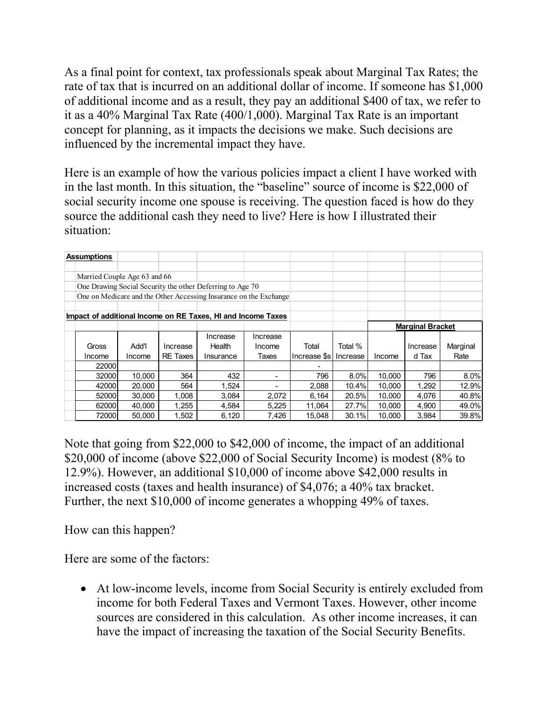As a final point for context, tax professionals speak about Marginal Tax Rates; the rate of tax that is incurred on an additional dollar of income. If someone has \$1,000 of additional income and as a result, they pay an additional \$400 of tax, we refer to it as a 40% Marginal Tax Rate (400/1,000). Marginal Tax Rate is an important concept for planning, as it impacts the decisions we make. Such decisions are influenced by the incremental impact they have.

Here is an example of how the various policies impact a client I have worked with in the last month. In this situation, the "baseline" source of income is \$22,000 of social security income one spouse is receiving. The question faced is how do they source the additional cash they need to live? Here is how I illustrated their situation:

|                                                                   | <b>Assumptions</b>                                        |        |                 |           |          |              |          |                         |          |          |  |  |  |
|-------------------------------------------------------------------|-----------------------------------------------------------|--------|-----------------|-----------|----------|--------------|----------|-------------------------|----------|----------|--|--|--|
|                                                                   |                                                           |        |                 |           |          |              |          |                         |          |          |  |  |  |
|                                                                   | Married Couple Age 63 and 66                              |        |                 |           |          |              |          |                         |          |          |  |  |  |
|                                                                   | One Drawing Social Security the other Deferring to Age 70 |        |                 |           |          |              |          |                         |          |          |  |  |  |
| One on Medicare and the Other Accessing Insurance on the Exchange |                                                           |        |                 |           |          |              |          |                         |          |          |  |  |  |
|                                                                   |                                                           |        |                 |           |          |              |          |                         |          |          |  |  |  |
| Impact of additional Income on RE Taxes, HI and Income Taxes      |                                                           |        |                 |           |          |              |          |                         |          |          |  |  |  |
|                                                                   |                                                           |        |                 |           |          |              |          | <b>Marginal Bracket</b> |          |          |  |  |  |
|                                                                   |                                                           |        |                 | Increase  | Increase |              |          |                         |          |          |  |  |  |
|                                                                   | Gross                                                     | Add'l  | Increase        | Health    | Income   | Total        | Total %  |                         | Increase | Marginal |  |  |  |
|                                                                   | Income                                                    | Income | <b>RE</b> Taxes | Insurance | Taxes    | Increase \$s | Increase | Income                  | d Tax    | Rate     |  |  |  |
|                                                                   | 22000                                                     |        |                 |           |          |              |          |                         |          |          |  |  |  |
|                                                                   | 32000                                                     | 10,000 | 364             | 432       |          | 796          | 8.0%     | 10,000                  | 796      | 8.0%     |  |  |  |
|                                                                   | 42000                                                     | 20,000 | 564             | 1,524     |          | 2,088        | 10.4%    | 10,000                  | 1,292    | 12.9%    |  |  |  |
|                                                                   | 52000                                                     | 30,000 | 1,008           | 3,084     | 2,072    | 6,164        | 20.5%    | 10,000                  | 4,076    | 40.8%    |  |  |  |
|                                                                   | 62000                                                     | 40,000 | 1,255           | 4,584     | 5,225    | 11,064       | 27.7%    | 10,000                  | 4,900    | 49.0%    |  |  |  |
|                                                                   | 72000                                                     | 50.000 | 1,502           | 6,120     | 7,426    | 15,048       | 30.1%    | 10,000                  | 3,984    | 39.8%    |  |  |  |

Note that going from \$22,000 to \$42,000 of income, the impact of an additional \$20,000 of income (above \$22,000 of Social Security Income) is modest (8% to 12.9%). However, an additional \$10,000 of income above \$42,000 results in increased costs (taxes and health insurance) of \$4,076; a 40% tax bracket. Further, the next \$10,000 of income generates a whopping 49% of taxes.

How can this happen?

Here are some of the factors:

• At low-income levels, income from Social Security is entirely excluded from income for both Federal Taxes and Vermont Taxes. However, other income sources are considered in this calculation. As other income increases, it can have the impact of increasing the taxation of the Social Security Benefits.